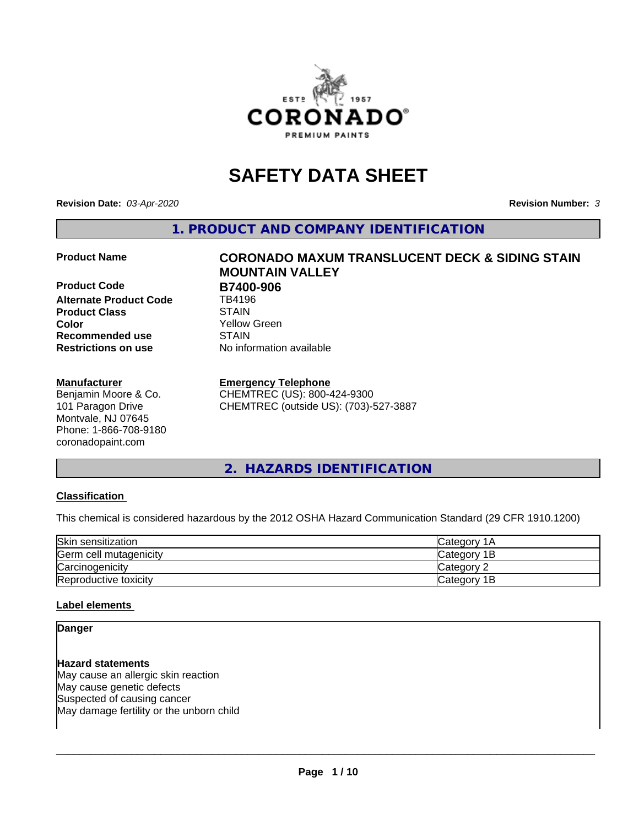

# **SAFETY DATA SHEET**

**Revision Date:** *03-Apr-2020* **Revision Number:** *3*

**1. PRODUCT AND COMPANY IDENTIFICATION**

**Product Code B7400-906**<br>Alternate Product Code **B** TB4196 **Alternate Product Code Product Class**<br> **Color**<br>
Color **Recommended use STAIN Restrictions on use** No information available

#### **Manufacturer**

Benjamin Moore & Co. 101 Paragon Drive Montvale, NJ 07645 Phone: 1-866-708-9180 coronadopaint.com

# **Product Name CORONADO MAXUM TRANSLUCENT DECK & SIDING STAIN MOUNTAIN VALLEY** Yellow Green

#### **Emergency Telephone**

CHEMTREC (US): 800-424-9300 CHEMTREC (outside US): (703)-527-3887

# **2. HAZARDS IDENTIFICATION**

#### **Classification**

This chemical is considered hazardous by the 2012 OSHA Hazard Communication Standard (29 CFR 1910.1200)

| Skin sensitization     | lCategory 1A |
|------------------------|--------------|
| Germ cell mutagenicity | Category 1B  |
| Carcinogenicity        | Category 2   |
| Reproductive toxicity  | Category 1B  |

#### **Label elements**

#### **Danger**

**Hazard statements** May cause an allergic skin reaction May cause genetic defects Suspected of causing cancer May damage fertility or the unborn child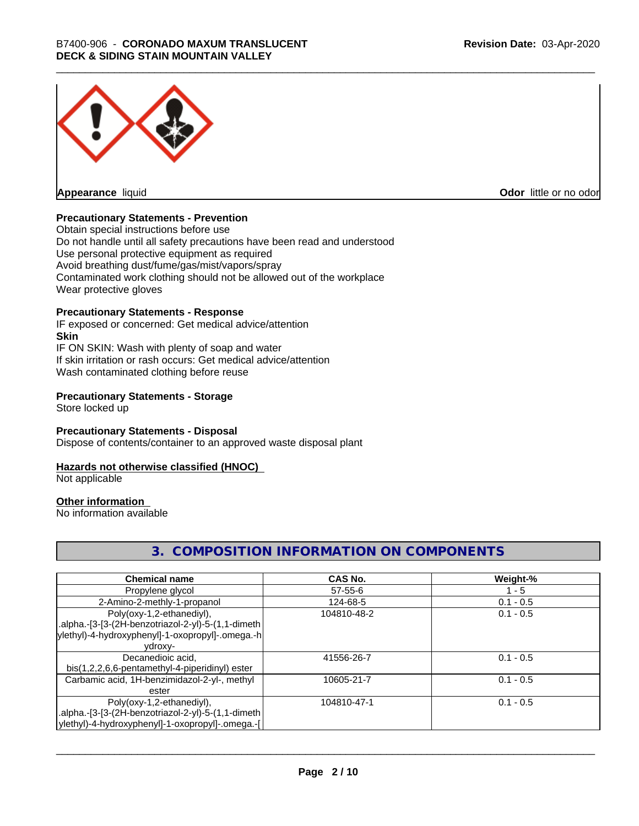

**Appearance** liquid

**Odor** little or no odor

#### **Precautionary Statements - Prevention**

Obtain special instructions before use Do not handle until all safety precautions have been read and understood Use personal protective equipment as required Avoid breathing dust/fume/gas/mist/vapors/spray Contaminated work clothing should not be allowed out of the workplace Wear protective gloves

# **Precautionary Statements - Response**

IF exposed or concerned: Get medical advice/attention **Skin** IF ON SKIN: Wash with plenty of soap and water If skin irritation or rash occurs: Get medical advice/attention Wash contaminated clothing before reuse

#### **Precautionary Statements - Storage**

Store locked up

#### **Precautionary Statements - Disposal**

Dispose of contents/container to an approved waste disposal plant

#### **Hazards not otherwise classified (HNOC)**

Not applicable

#### **Other information**

No information available

# **3. COMPOSITION INFORMATION ON COMPONENTS**

| <b>Chemical name</b>                               | <b>CAS No.</b> | Weight-%    |
|----------------------------------------------------|----------------|-------------|
| Propylene glycol                                   | $57 - 55 - 6$  | - 5         |
| 2-Amino-2-methly-1-propanol                        | 124-68-5       | $0.1 - 0.5$ |
| Poly(oxy-1,2-ethanediyl),                          | 104810-48-2    | $0.1 - 0.5$ |
| .alpha.-[3-[3-(2H-benzotriazol-2-yl)-5-(1,1-dimeth |                |             |
| ylethyl)-4-hydroxyphenyl]-1-oxopropyl]-.omega.-h   |                |             |
| ydroxy-                                            |                |             |
| Decanedioic acid,                                  | 41556-26-7     | $0.1 - 0.5$ |
| bis(1,2,2,6,6-pentamethyl-4-piperidinyl) ester     |                |             |
| Carbamic acid, 1H-benzimidazol-2-yl-, methyl       | 10605-21-7     | $0.1 - 0.5$ |
| ester                                              |                |             |
| Poly(oxy-1,2-ethanediyl),                          | 104810-47-1    | $0.1 - 0.5$ |
| .alpha.-[3-[3-(2H-benzotriazol-2-yl)-5-(1,1-dimeth |                |             |
| ylethyl)-4-hydroxyphenyl]-1-oxopropyl]-.omega.-[   |                |             |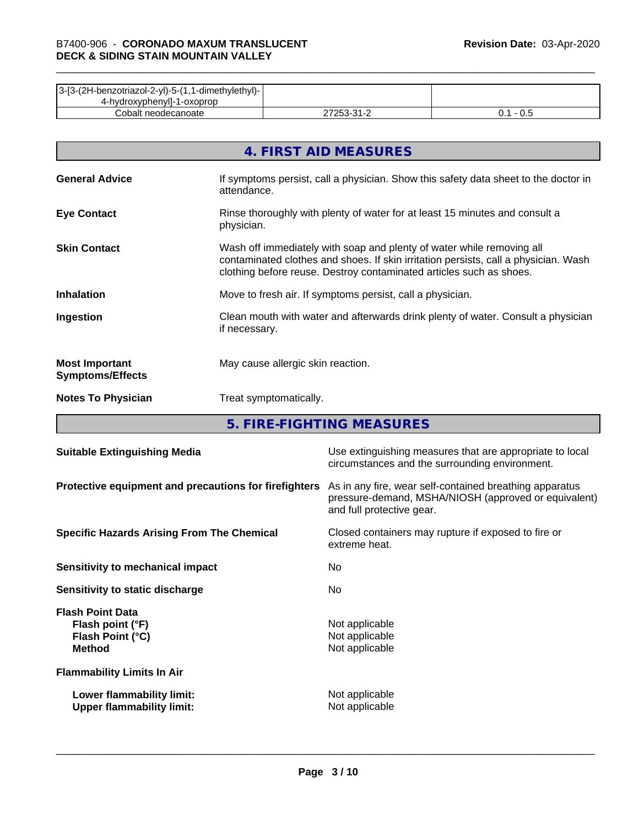| 3-[3-(2H-benzotriazol-2-yl)-5-(1,1-dimethylethyl)- |        |     |
|----------------------------------------------------|--------|-----|
| 4-hydroxyphenyll-1-oxoprop                         |        |     |
| Cobalt neodecanoate                                | つにつ つり | v.J |

|                                                  | 4. FIRST AID MEASURES                                                                                                                                                                                                               |
|--------------------------------------------------|-------------------------------------------------------------------------------------------------------------------------------------------------------------------------------------------------------------------------------------|
| <b>General Advice</b>                            | If symptoms persist, call a physician. Show this safety data sheet to the doctor in<br>attendance.                                                                                                                                  |
| <b>Eye Contact</b>                               | Rinse thoroughly with plenty of water for at least 15 minutes and consult a<br>physician.                                                                                                                                           |
| <b>Skin Contact</b>                              | Wash off immediately with soap and plenty of water while removing all<br>contaminated clothes and shoes. If skin irritation persists, call a physician. Wash<br>clothing before reuse. Destroy contaminated articles such as shoes. |
| <b>Inhalation</b>                                | Move to fresh air. If symptoms persist, call a physician.                                                                                                                                                                           |
| Ingestion                                        | Clean mouth with water and afterwards drink plenty of water. Consult a physician<br>if necessary.                                                                                                                                   |
| <b>Most Important</b><br><b>Symptoms/Effects</b> | May cause allergic skin reaction.                                                                                                                                                                                                   |
| <b>Notes To Physician</b>                        | Treat symptomatically.                                                                                                                                                                                                              |

**5. FIRE-FIGHTING MEASURES**

| <b>Suitable Extinguishing Media</b>                                              | Use extinguishing measures that are appropriate to local<br>circumstances and the surrounding environment.                                   |
|----------------------------------------------------------------------------------|----------------------------------------------------------------------------------------------------------------------------------------------|
| Protective equipment and precautions for firefighters                            | As in any fire, wear self-contained breathing apparatus<br>pressure-demand, MSHA/NIOSH (approved or equivalent)<br>and full protective gear. |
| <b>Specific Hazards Arising From The Chemical</b>                                | Closed containers may rupture if exposed to fire or<br>extreme heat.                                                                         |
| Sensitivity to mechanical impact                                                 | No.                                                                                                                                          |
| Sensitivity to static discharge                                                  | No.                                                                                                                                          |
| <b>Flash Point Data</b><br>Flash point (°F)<br>Flash Point (°C)<br><b>Method</b> | Not applicable<br>Not applicable<br>Not applicable                                                                                           |
| <b>Flammability Limits In Air</b>                                                |                                                                                                                                              |
| Lower flammability limit:<br><b>Upper flammability limit:</b>                    | Not applicable<br>Not applicable                                                                                                             |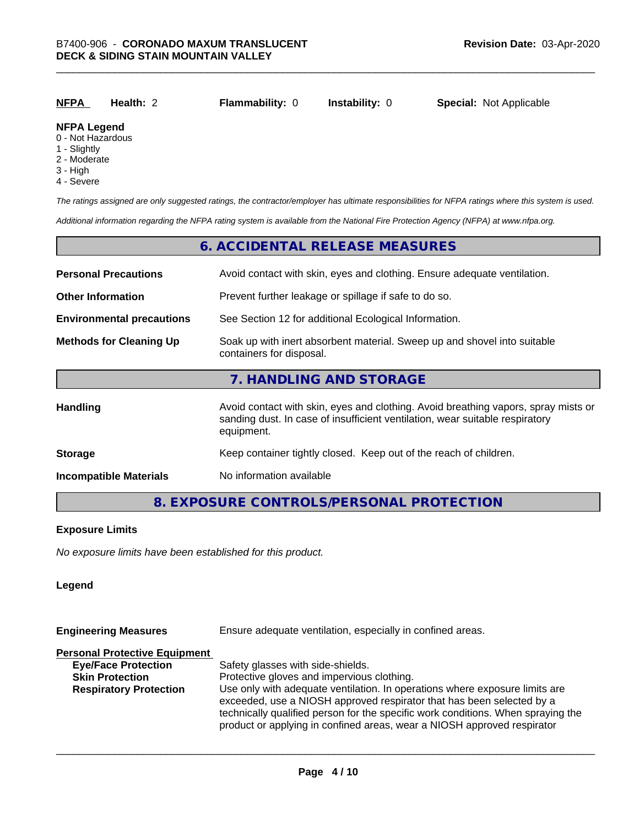| <u>NFPA</u>         | <b>Health: 2</b> | <b>Flammability: 0</b> | <b>Instability: 0</b> | <b>Special: Not Applicable</b> |
|---------------------|------------------|------------------------|-----------------------|--------------------------------|
| <b>ALCOVATIVITY</b> |                  |                        |                       |                                |

# **NFPA Legend**

- 0 Not Hazardous
- 1 Slightly
- 2 Moderate
- 3 High
- 4 Severe

*The ratings assigned are only suggested ratings, the contractor/employer has ultimate responsibilities for NFPA ratings where this system is used.*

*Additional information regarding the NFPA rating system is available from the National Fire Protection Agency (NFPA) at www.nfpa.org.*

#### **6. ACCIDENTAL RELEASE MEASURES**

| <b>Personal Precautions</b>      | Avoid contact with skin, eyes and clothing. Ensure adequate ventilation.                                                                                                         |  |  |
|----------------------------------|----------------------------------------------------------------------------------------------------------------------------------------------------------------------------------|--|--|
| <b>Other Information</b>         | Prevent further leakage or spillage if safe to do so.                                                                                                                            |  |  |
| <b>Environmental precautions</b> | See Section 12 for additional Ecological Information.                                                                                                                            |  |  |
| <b>Methods for Cleaning Up</b>   | Soak up with inert absorbent material. Sweep up and shovel into suitable<br>containers for disposal.                                                                             |  |  |
|                                  | 7. HANDLING AND STORAGE                                                                                                                                                          |  |  |
| Handling                         | Avoid contact with skin, eyes and clothing. Avoid breathing vapors, spray mists or<br>sanding dust. In case of insufficient ventilation, wear suitable respiratory<br>equipment. |  |  |
| <b>Storage</b>                   | Keep container tightly closed. Keep out of the reach of children.                                                                                                                |  |  |
| <b>Incompatible Materials</b>    | No information available                                                                                                                                                         |  |  |

# **8. EXPOSURE CONTROLS/PERSONAL PROTECTION**

#### **Exposure Limits**

*No exposure limits have been established for this product.*

#### **Legend**

| <b>Engineering Measures</b>          | Ensure adequate ventilation, especially in confined areas.                                                                                                                                                                                                                                                          |  |  |
|--------------------------------------|---------------------------------------------------------------------------------------------------------------------------------------------------------------------------------------------------------------------------------------------------------------------------------------------------------------------|--|--|
| <b>Personal Protective Equipment</b> |                                                                                                                                                                                                                                                                                                                     |  |  |
| <b>Eye/Face Protection</b>           | Safety glasses with side-shields.                                                                                                                                                                                                                                                                                   |  |  |
| <b>Skin Protection</b>               | Protective gloves and impervious clothing.                                                                                                                                                                                                                                                                          |  |  |
| <b>Respiratory Protection</b>        | Use only with adequate ventilation. In operations where exposure limits are<br>exceeded, use a NIOSH approved respirator that has been selected by a<br>technically qualified person for the specific work conditions. When spraying the<br>product or applying in confined areas, wear a NIOSH approved respirator |  |  |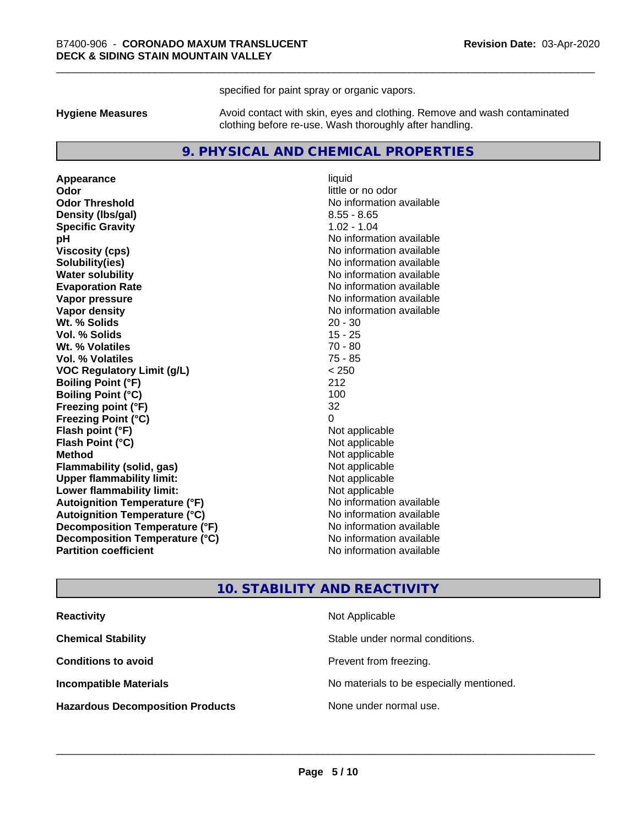specified for paint spray or organic vapors.

**Hygiene Measures** Avoid contact with skin, eyes and clothing. Remove and wash contaminated clothing before re-use. Wash thoroughly after handling.

#### **9. PHYSICAL AND CHEMICAL PROPERTIES**

**Appearance** liquid **Odor** little or no odor **Odor Threshold** No information available **Density (Ibs/gal)** 8.55 - 8.65 **Specific Gravity** 1.02 - 1.04 **pH** No information available **Viscosity (cps)** No information available **Solubility(ies)** No information available **Evaporation Rate No information available No information available Vapor pressure** No information available **Vapor density No information available No** information available **Wt. % Solids** 20 - 30 **Vol. % Solids** 15 - 25 **Wt. % Volatiles** 70 - 80 **Vol. % Volatiles** 75 - 85 **VOC Regulatory Limit (g/L)** < 250 **Boiling Point (°F)** 212 **Boiling Point (°C)** 100 **Freezing point (°F)** 32 **Freezing Point (°C)**<br> **Flash point (°F)**<br> **Flash point (°F)**<br> **Point (°F)**<br> **Point (°F)**<br> **Point (°F)**<br> **Point (°F)**<br> **Point (°F) Flash point (°F)**<br> **Flash Point (°C)**<br> **Flash Point (°C)**<br> **C Flash Point (°C) Method** Not applicable **Flammability (solid, gas)** Not applicable<br> **Upper flammability limit:** Not applicable **Upper flammability limit: Lower flammability limit:** Not applicable **Autoignition Temperature (°F)** No information available **Autoignition Temperature (°C)** No information available **Decomposition Temperature (°F)** No information available **Decomposition Temperature (°C)** No information available **Partition coefficient Contract Contract Contract Contract Contract Contract Contract Contract Contract Contract Contract Contract Contract Contract Contract Contract Contract Contract Contract Contract Contract Contract** 

**No information available** 

#### **10. STABILITY AND REACTIVITY**

| <b>Reactivity</b>                       | Not Applicable                           |
|-----------------------------------------|------------------------------------------|
| <b>Chemical Stability</b>               | Stable under normal conditions.          |
| <b>Conditions to avoid</b>              | Prevent from freezing.                   |
| <b>Incompatible Materials</b>           | No materials to be especially mentioned. |
| <b>Hazardous Decomposition Products</b> | None under normal use.                   |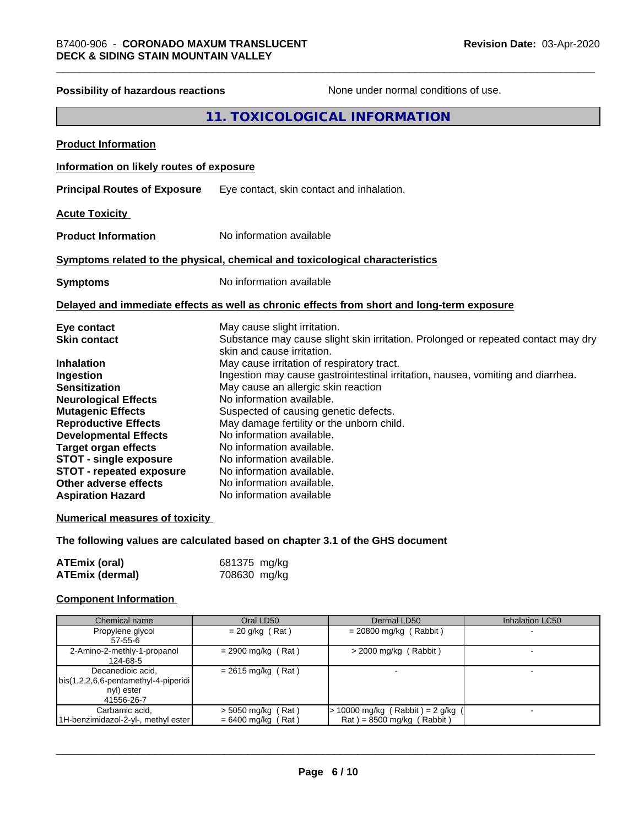| Possibility of hazardous reactions       | None under normal conditions of use.                                                                            |
|------------------------------------------|-----------------------------------------------------------------------------------------------------------------|
|                                          | 11. TOXICOLOGICAL INFORMATION                                                                                   |
| <b>Product Information</b>               |                                                                                                                 |
| Information on likely routes of exposure |                                                                                                                 |
| <b>Principal Routes of Exposure</b>      | Eye contact, skin contact and inhalation.                                                                       |
| <b>Acute Toxicity</b>                    |                                                                                                                 |
| <b>Product Information</b>               | No information available                                                                                        |
|                                          | Symptoms related to the physical, chemical and toxicological characteristics                                    |
| <b>Symptoms</b>                          | No information available                                                                                        |
|                                          | Delayed and immediate effects as well as chronic effects from short and long-term exposure                      |
| Eye contact                              | May cause slight irritation.                                                                                    |
| <b>Skin contact</b>                      | Substance may cause slight skin irritation. Prolonged or repeated contact may dry<br>skin and cause irritation. |
| <b>Inhalation</b>                        | May cause irritation of respiratory tract.                                                                      |
| <b>Ingestion</b>                         | Ingestion may cause gastrointestinal irritation, nausea, vomiting and diarrhea.                                 |
| <b>Sensitization</b>                     | May cause an allergic skin reaction                                                                             |
| <b>Neurological Effects</b>              | No information available.                                                                                       |
| <b>Mutagenic Effects</b>                 | Suspected of causing genetic defects.                                                                           |
| <b>Reproductive Effects</b>              | May damage fertility or the unborn child.                                                                       |
| <b>Developmental Effects</b>             | No information available.                                                                                       |
| <b>Target organ effects</b>              | No information available.                                                                                       |
| <b>STOT - single exposure</b>            | No information available.                                                                                       |
| <b>STOT - repeated exposure</b>          | No information available.                                                                                       |
| Other adverse effects                    | No information available.                                                                                       |
| <b>Aspiration Hazard</b>                 | No information available                                                                                        |
| <b>Numerical measures of toxicity</b>    |                                                                                                                 |
|                                          |                                                                                                                 |

# **The following values are calculated based on chapter 3.1 of the GHS document**

| <b>ATEmix (oral)</b> | 681375 mg/kg |
|----------------------|--------------|
| ATEmix (dermal)      | 708630 mg/kg |

# **Component Information**

| Chemical name                                                                             | Oral LD50                                    | Dermal LD50                                                          | <b>Inhalation LC50</b> |
|-------------------------------------------------------------------------------------------|----------------------------------------------|----------------------------------------------------------------------|------------------------|
| Propylene glycol<br>57-55-6                                                               | $= 20$ g/kg (Rat)                            | $= 20800$ mg/kg (Rabbit)                                             |                        |
| 2-Amino-2-methly-1-propanol<br>124-68-5                                                   | $= 2900$ mg/kg (Rat)                         | $>$ 2000 mg/kg (Rabbit)                                              |                        |
| Decanedioic acid,<br>  bis(1,2,2,6,6-pentamethyl-4-piperidi  <br>nyl) ester<br>41556-26-7 | $= 2615$ mg/kg (Rat)                         |                                                                      |                        |
| Carbamic acid,<br>1H-benzimidazol-2-yl-, methyl ester                                     | $>$ 5050 mg/kg (Rat)<br>$= 6400$ mg/kg (Rat) | $\cdot$ 10000 mg/kg (Rabbit) = 2 g/kg<br>$Rat$ = 8500 mg/kg (Rabbit) |                        |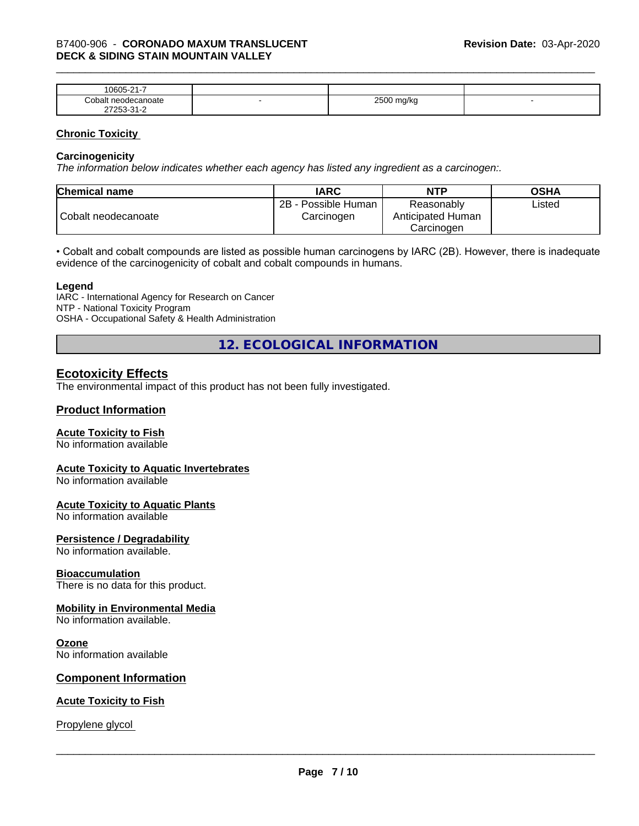| $\sim$<br>$\sim$ $\sim$ $\sim$<br>-<br>۱۲۱۱۰<br>.<br>. .                  |   |                        |  |
|---------------------------------------------------------------------------|---|------------------------|--|
| `∩h⊾<br>าoate                                                             | - | 0.500<br>W<br>- -<br>ີ |  |
| $\sim$<br>- ה<br>$ -$<br>$\sim$ $\sim$ $\sim$ $\sim$ $\sim$ $\sim$ $\sim$ |   |                        |  |

#### **Chronic Toxicity**

#### **Carcinogenicity**

*The information below indicateswhether each agency has listed any ingredient as a carcinogen:.*

| <b>Chemical name</b> | <b>IARC</b>                          | <b>NTP</b>                                    | <b>OSHA</b> |
|----------------------|--------------------------------------|-----------------------------------------------|-------------|
| Cobalt neodecanoate  | 2B<br>- Possible Human<br>Carcinogen | Reasonably<br>Anticipated Human<br>Carcinoɑen | ∟isted      |

• Cobalt and cobalt compounds are listed as possible human carcinogens by IARC (2B). However, there is inadequate evidence of the carcinogenicity of cobalt and cobalt compounds in humans.

#### **Legend**

IARC - International Agency for Research on Cancer NTP - National Toxicity Program OSHA - Occupational Safety & Health Administration

**12. ECOLOGICAL INFORMATION**

### **Ecotoxicity Effects**

The environmental impact of this product has not been fully investigated.

#### **Product Information**

#### **Acute Toxicity to Fish**

No information available

#### **Acute Toxicity to Aquatic Invertebrates**

No information available

#### **Acute Toxicity to Aquatic Plants**

No information available

#### **Persistence / Degradability**

No information available.

#### **Bioaccumulation**

There is no data for this product.

#### **Mobility in Environmental Media**

No information available.

#### **Ozone**

No information available

#### **Component Information**

#### **Acute Toxicity to Fish**

Propylene glycol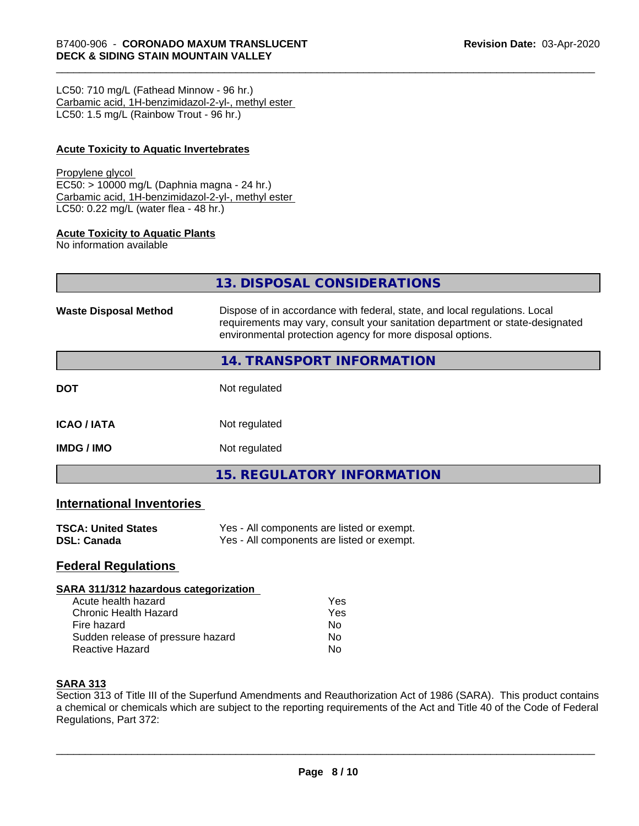LC50: 710 mg/L (Fathead Minnow - 96 hr.) Carbamic acid, 1H-benzimidazol-2-yl-, methyl ester LC50: 1.5 mg/L (Rainbow Trout - 96 hr.)

#### **Acute Toxicity to Aquatic Invertebrates**

#### Propylene glycol

EC50: > 10000 mg/L (Daphnia magna - 24 hr.) Carbamic acid, 1H-benzimidazol-2-yl-, methyl ester LC50: 0.22 mg/L (water flea - 48 hr.)

#### **Acute Toxicity to Aquatic Plants**

No information available

**13. DISPOSAL CONSIDERATIONS**

| <b>Waste Disposal Method</b> | Dispose of in accordance with federal, state, and local regulations. Local<br>requirements may vary, consult your sanitation department or state-designated<br>environmental protection agency for more disposal options. |  |
|------------------------------|---------------------------------------------------------------------------------------------------------------------------------------------------------------------------------------------------------------------------|--|
|                              | <b>14. TRANSPORT INFORMATION</b>                                                                                                                                                                                          |  |
| <b>DOT</b>                   | Not regulated                                                                                                                                                                                                             |  |
| <b>ICAO/IATA</b>             | Not regulated                                                                                                                                                                                                             |  |
| <b>IMDG/IMO</b>              | Not regulated                                                                                                                                                                                                             |  |
|                              | 15. REGULATORY INFORMATION                                                                                                                                                                                                |  |

# **International Inventories**

| <b>TSCA: United States</b> | Yes - All components are listed or exempt. |
|----------------------------|--------------------------------------------|
| <b>DSL: Canada</b>         | Yes - All components are listed or exempt. |

# **Federal Regulations**

#### **SARA 311/312 hazardous categorization**

| Acute health hazard               | Yes |  |
|-----------------------------------|-----|--|
| Chronic Health Hazard             | Yes |  |
| Fire hazard                       | N٥  |  |
| Sudden release of pressure hazard | N٥  |  |
| <b>Reactive Hazard</b>            | N٥  |  |

#### **SARA 313**

Section 313 of Title III of the Superfund Amendments and Reauthorization Act of 1986 (SARA). This product contains a chemical or chemicals which are subject to the reporting requirements of the Act and Title 40 of the Code of Federal Regulations, Part 372: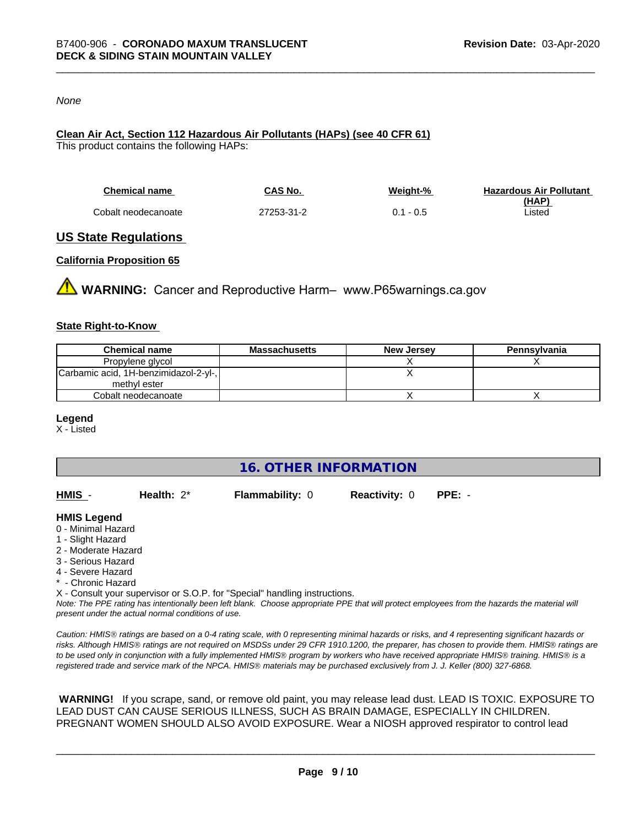#### *None*

# **Clean Air Act,Section 112 Hazardous Air Pollutants (HAPs) (see 40 CFR 61)**

This product contains the following HAPs:

| <b>Chemical name</b> | CAS No.    | Weight-%    | <b>Hazardous Air Pollutant</b> |
|----------------------|------------|-------------|--------------------------------|
|                      |            |             | (HAP)                          |
| Cobalt neodecanoate  | 27253-31-2 | $0.1 - 0.5$ | Listed                         |

### **US State Regulations**

#### **California Proposition 65**

**WARNING:** Cancer and Reproductive Harm– www.P65warnings.ca.gov

#### **State Right-to-Know**

| <b>Chemical name</b>                  | Massachusetts | <b>New Jersey</b> | Pennsylvania |
|---------------------------------------|---------------|-------------------|--------------|
| Propylene glycol                      |               |                   |              |
| Carbamic acid, 1H-benzimidazol-2-yl-, |               |                   |              |
| methyl ester                          |               |                   |              |
| Cobalt neodecanoate                   |               |                   |              |

#### **Legend**

X - Listed

**16. OTHER INFORMATION**

| HMIS | Health: $2^*$ | <b>Flammability: 0</b> | <b>Reactivity: 0</b> | PPE: - |
|------|---------------|------------------------|----------------------|--------|
|      |               |                        |                      |        |

#### **HMIS Legend**

- 0 Minimal Hazard
- 1 Slight Hazard
- 2 Moderate Hazard
- 3 Serious Hazard
- 4 Severe Hazard
- \* Chronic Hazard
- X Consult your supervisor or S.O.P. for "Special" handling instructions.

*Note: The PPE rating has intentionally been left blank. Choose appropriate PPE that will protect employees from the hazards the material will present under the actual normal conditions of use.*

*Caution: HMISÒ ratings are based on a 0-4 rating scale, with 0 representing minimal hazards or risks, and 4 representing significant hazards or risks. Although HMISÒ ratings are not required on MSDSs under 29 CFR 1910.1200, the preparer, has chosen to provide them. HMISÒ ratings are to be used only in conjunction with a fully implemented HMISÒ program by workers who have received appropriate HMISÒ training. HMISÒ is a registered trade and service mark of the NPCA. HMISÒ materials may be purchased exclusively from J. J. Keller (800) 327-6868.*

 **WARNING!** If you scrape, sand, or remove old paint, you may release lead dust. LEAD IS TOXIC. EXPOSURE TO LEAD DUST CAN CAUSE SERIOUS ILLNESS, SUCH AS BRAIN DAMAGE, ESPECIALLY IN CHILDREN. PREGNANT WOMEN SHOULD ALSO AVOID EXPOSURE.Wear a NIOSH approved respirator to control lead